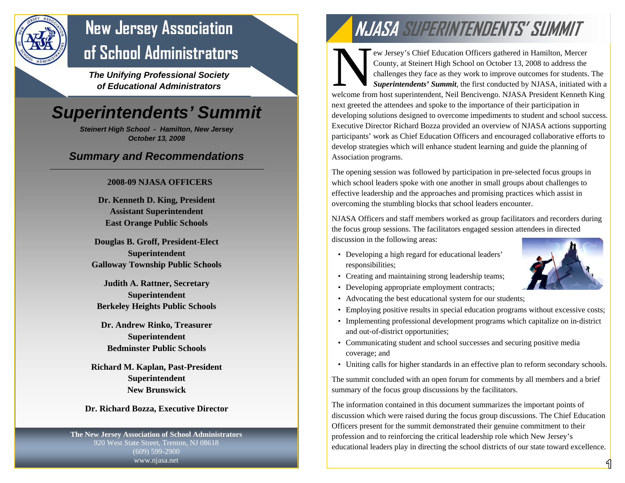

## **New Jersey Association of School Administrators**

*The Unifying Professional Society of Educational Administrators* 

## *Superintendents' Summit*

*Steinert High School - Hamilton, New Jersey October 13, 2008* 

#### *Summary and Recommendations*

#### **2008-09 NJASA OFFICERS**

**Dr. Kenneth D. King, President Assistant Superintendent East Orange Public Schools** 

**Douglas B. Groff, President-Elect Superintendent Galloway Township Public Schools** 

**Judith A. Rattner, Secretary Superintendent Berkeley Heights Public Schools** 

**Dr. Andrew Rinko, Treasurer Superintendent Bedminster Public Schools** 

**Richard M. Kaplan, Past-President Superintendent New Brunswick** 

#### **Dr. Richard Bozza, Executive Director**

**The New Jersey Association of School Administrators**  920 West State Street, Trenton, NJ 08618 (609) 599-2900 www.njasa.net

# **NJASA SUPERINTENDENTS' SUMMIT**

ew Jersey's Chief Education Officers gathered in Hamilton, Mercer<br>County, at Steinert High School on October 13, 2008 to address the<br>challenges they face as they work to improve outcomes for students. The<br>Superintendents' welcome from host superintendent, Neil Bencivengo. NJASA President Kenneth King next greeted the attendees and spoke to the importance of their participation in developing solutions designed to overcome impediments to student and school success. Executive Director Richard Bozza provided an overview of NJASA actions supporting participants' work as Chief Education Officers and encouraged collaborative efforts to develop strategies which will enhance student learning and guide the planning of Association programs.

The opening session was followed by participation in pre‐selected focus groups in which school leaders spoke with one another in small groups about challenges to effective leadership and the approaches and promising practices which assist in overcoming the stumbling blocks that school leaders encounter.

NJASA Officers and staff members worked as group facilitators and recorders during the focus group sessions. The facilitators engaged session attendees in directed discussion in the following areas:

• Developing a high regard for educational leaders' responsibilities;



- Creating and maintaining strong leadership teams;
- Developing appropriate employment contracts;
- Advocating the best educational system for our students;
- Employing positive results in special education programs without excessive costs;
- Implementing professional development programs which capitalize on in-district and out‐of-district opportunities;
- Communicating student and school successes and securing positive media coverage; and
- Uniting calls for higher standards in an effective plan to reform secondary schools.

The summit concluded with an open forum for comments by all members and a brief summary of the focus group discussions by the facilitators.

The information contained in this document summarizes the important points of discussion which were raised during the focus group discussions. The Chief Education Officers present for the summit demonstrated their genuine commitment to their profession and to reinforcing the critical leadership role which New Jersey's educational leaders play in directing the school districts of our state toward excellence.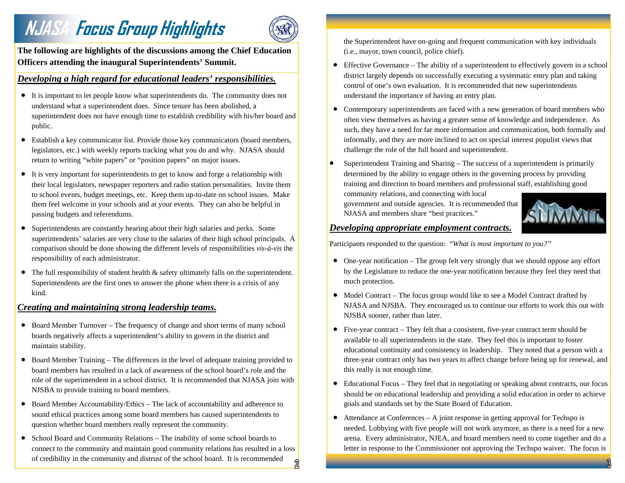# **NJASA FOCUS Group Highlights** (SEC) the Superintendent have on-going and frequent communication with key individuals



**The following are highlights of the discussions among the Chief Education Officers attending the inaugural Superintendents' Summit.** 

#### *Developing a high regard for educational leaders' responsibilities.*

- It is important to let people know what superintendents do. The community does not understand what a superintendent does. Since tenure has been abolished, a superintendent does not have enough time to establish credibility with his/her board and public.
- Establish a key communicator list. Provide those key communicators (board members, legislators, etc.) with weekly reports tracking what you do and why. NJASA should return to writing "white papers" or "position papers" on major issues.
- It is very important for superintendents to get to know and forge a relationship with their local legislators, newspaper reporters and radio station personalities. Invite them to school events, budget meetings, etc. Keep them up-to-date on school issues. Make them feel welcome in your schools and at your events. They can also be helpful in passing budgets and referendums.
- Superintendents are constantly hearing about their high salaries and perks. Some superintendents' salaries are very close to the salaries of their high school principals. A comparison should be done showing the different levels of responsibilities *vis-á-vis* the responsibility of each administrator.
- The full responsibility of student health  $\&$  safety ultimately falls on the superintendent. Superintendents are the first ones to answer the phone when there is a crisis of any kind.

#### *Creating and maintaining strong leadership teams.*

- Board Member Turnover The frequency of change and short terms of many school boards negatively affects a superintendent's ability to govern in the district and maintain stability.
- Board Member Training The differences in the level of adequate training provided to board members has resulted in a lack of awareness of the school board's role and the role of the superintendent in a school district. It is recommended that NJASA join with NJSBA to provide training to board members.
- Board Member Accountability/Ethics The lack of accountability and adherence to sound ethical practices among some board members has caused superintendents to question whether board members really represent the community.
- School Board and Community Relations The inability of some school boards to connect to the community and maintain good community relations has resulted in a loss of credibility in the community and distrust of the school board. It is recommended  $\overline{2}$

(i.e., mayor, town council, police chief).

- Effective Governance The ability of a superintendent to effectively govern in a school district largely depends on successfully executing a systematic entry plan and taking control of one's own evaluation. It is recommended that new superintendents understand the importance of having an entry plan.
- Contemporary superintendents are faced with a new generation of board members who often view themselves as having a greater sense of knowledge and independence. As such, they have a need for far more information and communication, both formally and informally, and they are more inclined to act on special interest populist views that challenge the role of the full board and superintendent.
- Superintendent Training and Sharing The success of a superintendent is primarily determined by the ability to engage others in the governing process by providing training and direction to board members and professional staff, establishing good

community relations, and connecting with local government and outside agencies. It is recommended that NJASA and members share "best practices."



#### *Developing appropriate employment contracts.*

Participants responded to the question: "*What is most important to you?"*

- One-year notification The group felt very strongly that we should oppose any effort by the Legislature to reduce the one-year notification because they feel they need that much protection.
- Model Contract The focus group would like to see a Model Contract drafted by NJASA and NJSBA. They encouraged us to continue our efforts to work this out with NJSBA sooner, rather than later.
- Five-year contract They felt that a consistent, five-year contract term should be available to all superintendents in the state. They feel this is important to foster educational continuity and consistency in leadership. They noted that a person with a three-year contract only has two years to affect change before being up for renewal, and this really is not enough time.
- Educational Focus They feel that in negotiating or speaking about contracts, our focus should be on educational leadership and providing a solid education in order to achieve goals and standards set by the State Board of Education.
- Attendance at Conferences A joint response in getting approval for Techspo is needed. Lobbying with five people will not work anymore, as there is a need for a new arena. Every administrator, NJEA, and board members need to come together and do a letter in response to the Commissioner not approving the Techspo waiver. The focus is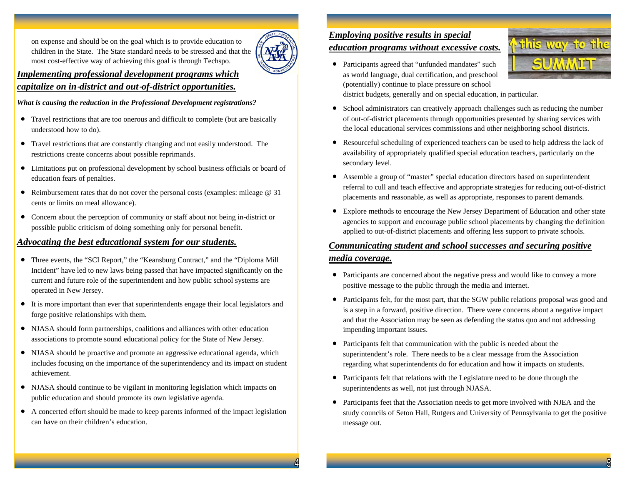on expense and should be on the goal which is to provide education to children in the State. The State standard needs to be stressed and that the most cost-effective way of achieving this goal is through Techspo.



#### *Implementing professional development programs which capitalize on in*‐*district and out*‐*of-district opportunities.*

*What is causing the reduction in the Professional Development registrations?* 

- Travel restrictions that are too onerous and difficult to complete (but are basically understood how to do).
- Travel restrictions that are constantly changing and not easily understood. The restrictions create concerns about possible reprimands.
- Limitations put on professional development by school business officials or board of education fears of penalties.
- Reimbursement rates that do not cover the personal costs (examples: mileage @ 31) cents or limits on meal allowance).
- Concern about the perception of community or staff about not being in-district or possible public criticism of doing something only for personal benefit.

#### *Advocating the best educational system for our students.*

- Three events, the "SCI Report," the "Keansburg Contract," and the "Diploma Mill Incident" have led to new laws being passed that have impacted significantly on the current and future role of the superintendent and how public school systems are operated in New Jersey.
- It is more important than ever that superintendents engage their local legislators and forge positive relationships with them.
- NJASA should form partnerships, coalitions and alliances with other education associations to promote sound educational policy for the State of New Jersey.
- NJASA should be proactive and promote an aggressive educational agenda, which includes focusing on the importance of the superintendency and its impact on student achievement.
- NJASA should continue to be vigilant in monitoring legislation which impacts on public education and should promote its own legislative agenda.
- A concerted effort should be made to keep parents informed of the impact legislation can have on their children's education.

#### *Employing positive results in special*

#### *education programs without excessive costs.*

• Participants agreed that "unfunded mandates" such as world language, dual certification, and preschool (potentially) continue to place pressure on school district budgets, generally and on special education, in particular.



- School administrators can creatively approach challenges such as reducing the number of out-of-district placements through opportunities presented by sharing services with the local educational services commissions and other neighboring school districts.
- Resourceful scheduling of experienced teachers can be used to help address the lack of availability of appropriately qualified special education teachers, particularly on the secondary level.
- Assemble a group of "master" special education directors based on superintendent referral to cull and teach effective and appropriate strategies for reducing out-of-district placements and reasonable, as well as appropriate, responses to parent demands.
- Explore methods to encourage the New Jersey Department of Education and other state agencies to support and encourage public school placements by changing the definition applied to out-of-district placements and offering less support to private schools.

#### *Communicating student and school successes and securing positive media coverage.*

- Participants are concerned about the negative press and would like to convey a more positive message to the public through the media and internet.
- Participants felt, for the most part, that the SGW public relations proposal was good and is a step in a forward, positive direction. There were concerns about a negative impact and that the Association may be seen as defending the status quo and not addressing impending important issues.
- Participants felt that communication with the public is needed about the superintendent's role. There needs to be a clear message from the Association regarding what superintendents do for education and how it impacts on students.
- Participants felt that relations with the Legislature need to be done through the superintendents as well, not just through NJASA.
- Participants feet that the Association needs to get more involved with NJEA and the study councils of Seton Hall, Rutgers and University of Pennsylvania to get the positive message out.